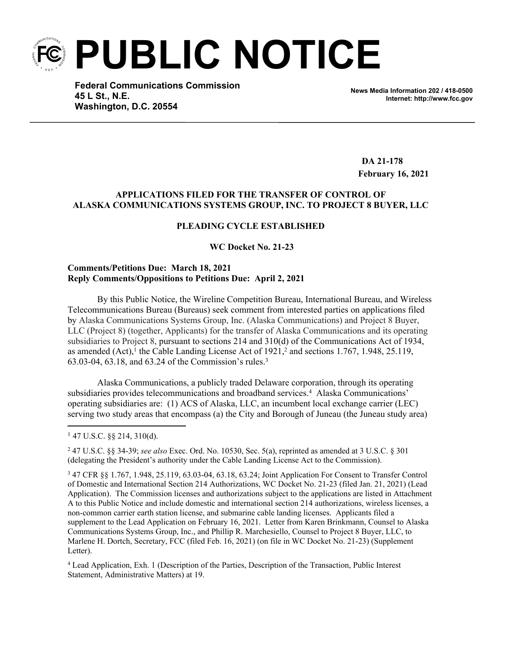**PUBLIC NOTICE**

**Federal Communications Commission 45 L St., N.E. Washington, D.C. 20554**

**News Media Information 202 / 418-0500 Internet: http://www.fcc.gov**

**DA 21-178 February 16, 2021**

### **APPLICATIONS FILED FOR THE TRANSFER OF CONTROL OF ALASKA COMMUNICATIONS SYSTEMS GROUP, INC. TO PROJECT 8 BUYER, LLC**

#### **PLEADING CYCLE ESTABLISHED**

 **WC Docket No. 21-23**

#### **Comments/Petitions Due: March 18, 2021 Reply Comments/Oppositions to Petitions Due: April 2, 2021**

By this Public Notice, the Wireline Competition Bureau, International Bureau, and Wireless Telecommunications Bureau (Bureaus) seek comment from interested parties on applications filed by Alaska Communications Systems Group, Inc. (Alaska Communications) and Project 8 Buyer, LLC (Project 8) (together, Applicants) for the transfer of Alaska Communications and its operating subsidiaries to Project 8, pursuant to sections 214 and 310(d) of the Communications Act of 1934, as amended  $(Act)$ ,<sup>1</sup> the Cable Landing License Act of  $1921$ ,<sup>2</sup> and sections 1.767, 1.948, 25.119, 63.03-04, 63.18, and 63.24 of the Commission's rules.<sup>3</sup>

Alaska Communications, a publicly traded Delaware corporation, through its operating subsidiaries provides telecommunications and broadband services.<sup>4</sup> Alaska Communications' operating subsidiaries are: (1) ACS of Alaska, LLC, an incumbent local exchange carrier (LEC) serving two study areas that encompass (a) the City and Borough of Juneau (the Juneau study area)

4 Lead Application, Exh. 1 (Description of the Parties, Description of the Transaction, Public Interest Statement, Administrative Matters) at 19.

<sup>1</sup> 47 U.S.C. §§ 214, 310(d).

<sup>2</sup> [47 U.S.C. §§ 34](http://www.westlaw.com/Link/Document/FullText?findType=L&pubNum=1000546&cite=47USCAS34&originatingDoc=I2978955ac90b11e6bfb79a463a4b3bc7&refType=LQ&originationContext=document&vr=3.0&rs=cblt1.0&transitionType=DocumentItem&contextData=(sc.Search))-[39;](http://www.westlaw.com/Link/Document/FullText?findType=L&pubNum=1000546&cite=47USCAS39&originatingDoc=I2978955ac90b11e6bfb79a463a4b3bc7&refType=LQ&originationContext=document&vr=3.0&rs=cblt1.0&transitionType=DocumentItem&contextData=(sc.Search)) *see also* [Exec. Ord. No. 10530](http://www.westlaw.com/Link/Document/FullText?findType=Y&serNum=1954047056&pubNum=0001043&originatingDoc=I2978955ac90b11e6bfb79a463a4b3bc7&refType=CA&originationContext=document&vr=3.0&rs=cblt1.0&transitionType=DocumentItem&contextData=(sc.Search)), Sec. 5(a), reprinted as amended at [3 U.S.C. § 301](http://www.westlaw.com/Link/Document/FullText?findType=L&pubNum=1000546&cite=3USCAS301&originatingDoc=I2978955ac90b11e6bfb79a463a4b3bc7&refType=LQ&originationContext=document&vr=3.0&rs=cblt1.0&transitionType=DocumentItem&contextData=(sc.Search))  (delegating the President's authority under the Cable Landing License Act to the Commission).

<sup>3</sup> 47 CFR §§ 1.767, 1.948, 25.119, 63.03-04, 63.18, 63.24; Joint Application For Consent to Transfer Control of Domestic and International Section 214 Authorizations, WC Docket No. 21-23 (filed Jan. 21, 2021) (Lead Application). The Commission licenses and authorizations subject to the applications are listed in Attachment A to this Public Notice and include domestic and international section 214 authorizations, wireless licenses, a non-common carrier earth station license, and submarine cable landing licenses. Applicants filed a supplement to the Lead Application on February 16, 2021. Letter from Karen Brinkmann, Counsel to Alaska Communications Systems Group, Inc., and Phillip R. Marchesiello, Counsel to Project 8 Buyer, LLC, to Marlene H. Dortch, Secretary, FCC (filed Feb. 16, 2021) (on file in WC Docket No. 21-23) (Supplement Letter).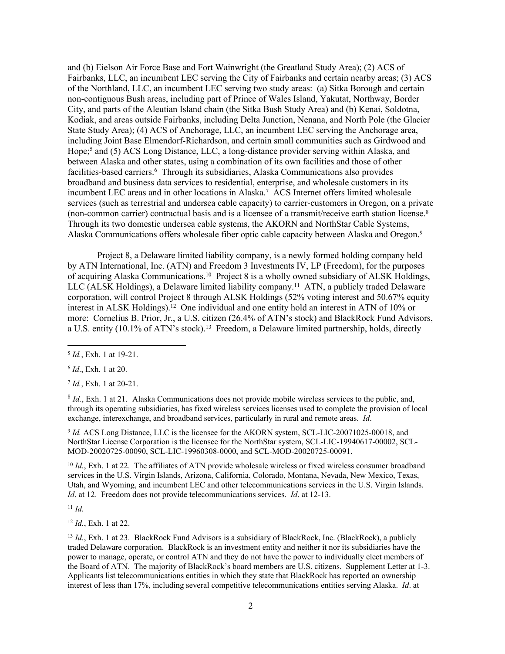and (b) Eielson Air Force Base and Fort Wainwright (the Greatland Study Area); (2) ACS of Fairbanks, LLC, an incumbent LEC serving the City of Fairbanks and certain nearby areas; (3) ACS of the Northland, LLC, an incumbent LEC serving two study areas: (a) Sitka Borough and certain non-contiguous Bush areas, including part of Prince of Wales Island, Yakutat, Northway, Border City, and parts of the Aleutian Island chain (the Sitka Bush Study Area) and (b) Kenai, Soldotna, Kodiak, and areas outside Fairbanks, including Delta Junction, Nenana, and North Pole (the Glacier State Study Area); (4) ACS of Anchorage, LLC, an incumbent LEC serving the Anchorage area, including Joint Base Elmendorf-Richardson, and certain small communities such as Girdwood and Hope;<sup>5</sup> and (5) ACS Long Distance, LLC, a long-distance provider serving within Alaska, and between Alaska and other states, using a combination of its own facilities and those of other facilities-based carriers.<sup>6</sup> Through its subsidiaries, Alaska Communications also provides broadband and business data services to residential, enterprise, and wholesale customers in its incumbent LEC areas and in other locations in Alaska.<sup>7</sup> ACS Internet offers limited wholesale services (such as terrestrial and undersea cable capacity) to carrier-customers in Oregon, on a private (non-common carrier) contractual basis and is a licensee of a transmit/receive earth station license.<sup>8</sup> Through its two domestic undersea cable systems, the AKORN and NorthStar Cable Systems, Alaska Communications offers wholesale fiber optic cable capacity between Alaska and Oregon.<sup>9</sup>

Project 8, a Delaware limited liability company, is a newly formed holding company held by ATN International, Inc. (ATN) and Freedom 3 Investments IV, LP (Freedom), for the purposes of acquiring Alaska Communications.<sup>10</sup> Project 8 is a wholly owned subsidiary of ALSK Holdings, LLC (ALSK Holdings), a Delaware limited liability company.<sup>11</sup> ATN, a publicly traded Delaware corporation, will control Project 8 through ALSK Holdings (52% voting interest and 50.67% equity interest in ALSK Holdings).<sup>12</sup> One individual and one entity hold an interest in ATN of 10% or more: Cornelius B. Prior, Jr., a U.S. citizen (26.4% of ATN's stock) and BlackRock Fund Advisors, a U.S. entity (10.1% of ATN's stock).<sup>13</sup> Freedom, a Delaware limited partnership, holds, directly

6 *Id*., Exh. 1 at 20.

7 *Id.*, Exh. 1 at 20-21.

<sup>8</sup> *Id.*, Exh. 1 at 21. Alaska Communications does not provide mobile wireless services to the public, and, through its operating subsidiaries, has fixed wireless services licenses used to complete the provision of local exchange, interexchange, and broadband services, particularly in rural and remote areas. *Id*.

9 *Id.* ACS Long Distance, LLC is the licensee for the AKORN system, SCL-LIC-20071025-00018, and NorthStar License Corporation is the licensee for the NorthStar system, SCL-LIC-19940617-00002, SCL-MOD-20020725-00090, SCL-LIC-19960308-0000, and SCL-MOD-20020725-00091.

<sup>10</sup> *Id.*, Exh. 1 at 22. The affiliates of ATN provide wholesale wireless or fixed wireless consumer broadband services in the U.S. Virgin Islands, Arizona, California, Colorado, Montana, Nevada, New Mexico, Texas, Utah, and Wyoming, and incumbent LEC and other telecommunications services in the U.S. Virgin Islands. *Id*. at 12. Freedom does not provide telecommunications services. *Id*. at 12-13.

<sup>11</sup> *Id.*

<sup>12</sup> *Id.*, Exh. 1 at 22.

<sup>13</sup> *Id.*, Exh. 1 at 23. BlackRock Fund Advisors is a subsidiary of BlackRock, Inc. (BlackRock), a publicly traded Delaware corporation. BlackRock is an investment entity and neither it nor its subsidiaries have the power to manage, operate, or control ATN and they do not have the power to individually elect members of the Board of ATN. The majority of BlackRock's board members are U.S. citizens. Supplement Letter at 1-3. Applicants list telecommunications entities in which they state that BlackRock has reported an ownership interest of less than 17%, including several competitive telecommunications entities serving Alaska. *Id*. at

<sup>5</sup> *Id.*, Exh. 1 at 19-21.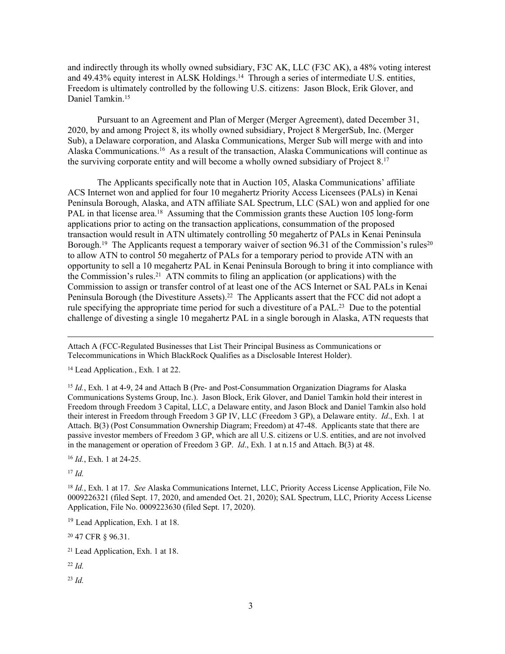and indirectly through its wholly owned subsidiary, F3C AK, LLC (F3C AK), a 48% voting interest and 49.43% equity interest in ALSK Holdings.<sup>14</sup> Through a series of intermediate U.S. entities, Freedom is ultimately controlled by the following U.S. citizens: Jason Block, Erik Glover, and Daniel Tamkin.<sup>15</sup>

Pursuant to an Agreement and Plan of Merger (Merger Agreement), dated December 31, 2020, by and among Project 8, its wholly owned subsidiary, Project 8 MergerSub, Inc. (Merger Sub), a Delaware corporation, and Alaska Communications, Merger Sub will merge with and into Alaska Communications.<sup>16</sup> As a result of the transaction, Alaska Communications will continue as the surviving corporate entity and will become a wholly owned subsidiary of Project 8.<sup>17</sup>

The Applicants specifically note that in Auction 105, Alaska Communications' affiliate ACS Internet won and applied for four 10 megahertz Priority Access Licensees (PALs) in Kenai Peninsula Borough, Alaska, and ATN affiliate SAL Spectrum, LLC (SAL) won and applied for one PAL in that license area.<sup>18</sup> Assuming that the Commission grants these Auction 105 long-form applications prior to acting on the transaction applications, consummation of the proposed transaction would result in ATN ultimately controlling 50 megahertz of PALs in Kenai Peninsula Borough.<sup>19</sup> The Applicants request a temporary waiver of section 96.31 of the Commission's rules<sup>20</sup> to allow ATN to control 50 megahertz of PALs for a temporary period to provide ATN with an opportunity to sell a 10 megahertz PAL in Kenai Peninsula Borough to bring it into compliance with the Commission's rules.<sup>21</sup> ATN commits to filing an application (or applications) with the Commission to assign or transfer control of at least one of the ACS Internet or SAL PALs in Kenai Peninsula Borough (the Divestiture Assets).<sup>22</sup> The Applicants assert that the FCC did not adopt a rule specifying the appropriate time period for such a divestiture of a PAL.<sup>23</sup> Due to the potential challenge of divesting a single 10 megahertz PAL in a single borough in Alaska, ATN requests that

<sup>14</sup> Lead Application*.*, Exh. 1 at 22.

<sup>15</sup> *Id.*, Exh. 1 at 4-9, 24 and Attach B (Pre- and Post-Consummation Organization Diagrams for Alaska Communications Systems Group, Inc.). Jason Block, Erik Glover, and Daniel Tamkin hold their interest in Freedom through Freedom 3 Capital, LLC, a Delaware entity, and Jason Block and Daniel Tamkin also hold their interest in Freedom through Freedom 3 GP IV, LLC (Freedom 3 GP), a Delaware entity. *Id*., Exh. 1 at Attach. B(3) (Post Consummation Ownership Diagram; Freedom) at 47-48. Applicants state that there are passive investor members of Freedom 3 GP, which are all U.S. citizens or U.S. entities, and are not involved in the management or operation of Freedom 3 GP. *Id*., Exh. 1 at n.15 and Attach. B(3) at 48.

<sup>16</sup> *Id.*, Exh. 1 at 24-25.

<sup>17</sup> *Id.*

<sup>18</sup> *Id.*, Exh. 1 at 17. *See* Alaska Communications Internet, LLC, Priority Access License Application, File No. 0009226321 (filed Sept. 17, 2020, and amended Oct. 21, 2020); SAL Spectrum, LLC, Priority Access License Application, File No. 0009223630 (filed Sept. 17, 2020).

<sup>19</sup> Lead Application, Exh. 1 at 18.

<sup>20</sup> 47 CFR § 96.31.

<sup>21</sup> Lead Application, Exh. 1 at 18.

<sup>22</sup> *Id.*

<sup>23</sup> *Id.*

Attach A (FCC-Regulated Businesses that List Their Principal Business as Communications or Telecommunications in Which BlackRock Qualifies as a Disclosable Interest Holder).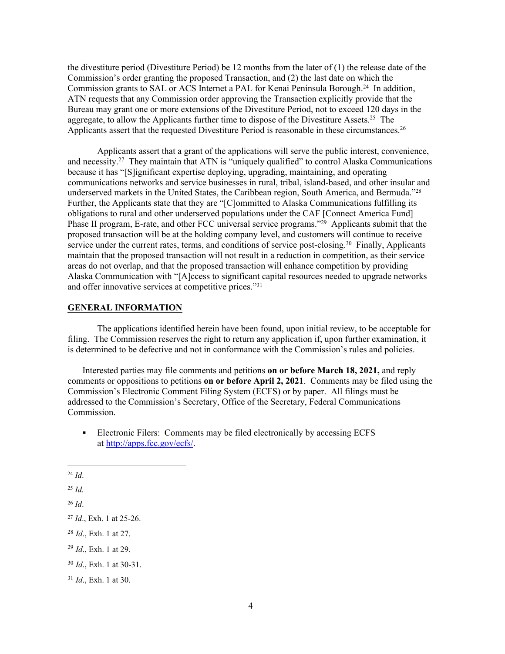the divestiture period (Divestiture Period) be 12 months from the later of (1) the release date of the Commission's order granting the proposed Transaction, and (2) the last date on which the Commission grants to SAL or ACS Internet a PAL for Kenai Peninsula Borough.<sup>24</sup> In addition, ATN requests that any Commission order approving the Transaction explicitly provide that the Bureau may grant one or more extensions of the Divestiture Period, not to exceed 120 days in the aggregate, to allow the Applicants further time to dispose of the Divestiture Assets.<sup>25</sup> The Applicants assert that the requested Divestiture Period is reasonable in these circumstances.<sup>26</sup>

Applicants assert that a grant of the applications will serve the public interest, convenience, and necessity.<sup>27</sup> They maintain that ATN is "uniquely qualified" to control Alaska Communications because it has "[S]ignificant expertise deploying, upgrading, maintaining, and operating communications networks and service businesses in rural, tribal, island-based, and other insular and underserved markets in the United States, the Caribbean region, South America, and Bermuda."<sup>28</sup> Further, the Applicants state that they are "[C]ommitted to Alaska Communications fulfilling its obligations to rural and other underserved populations under the CAF [Connect America Fund] Phase II program, E-rate, and other FCC universal service programs."<sup>29</sup> Applicants submit that the proposed transaction will be at the holding company level, and customers will continue to receive service under the current rates, terms, and conditions of service post-closing.<sup>30</sup> Finally, Applicants maintain that the proposed transaction will not result in a reduction in competition, as their service areas do not overlap, and that the proposed transaction will enhance competition by providing Alaska Communication with "[A]ccess to significant capital resources needed to upgrade networks and offer innovative services at competitive prices."<sup>31</sup>

#### **GENERAL INFORMATION**

The applications identified herein have been found, upon initial review, to be acceptable for filing. The Commission reserves the right to return any application if, upon further examination, it is determined to be defective and not in conformance with the Commission's rules and policies.

Interested parties may file comments and petitions **on or before March 18, 2021,** and reply comments or oppositions to petitions **on or before April 2, 2021**. Comments may be filed using the Commission's Electronic Comment Filing System (ECFS) or by paper. All filings must be addressed to the Commission's Secretary, Office of the Secretary, Federal Communications Commission.

- Electronic Filers: Comments may be filed electronically by accessing ECFS at <http://apps.fcc.gov/ecfs/>.
- <sup>24</sup> *Id*.
- <sup>25</sup> *Id.*

- <sup>28</sup> *Id*., Exh. 1 at 27.
- <sup>29</sup> *Id*., Exh. 1 at 29.
- <sup>30</sup> *Id*., Exh. 1 at 30-31.

<sup>26</sup> *Id*.

<sup>27</sup> *Id*., Exh. 1 at 25-26.

<sup>31</sup> *Id*., Exh. 1 at 30.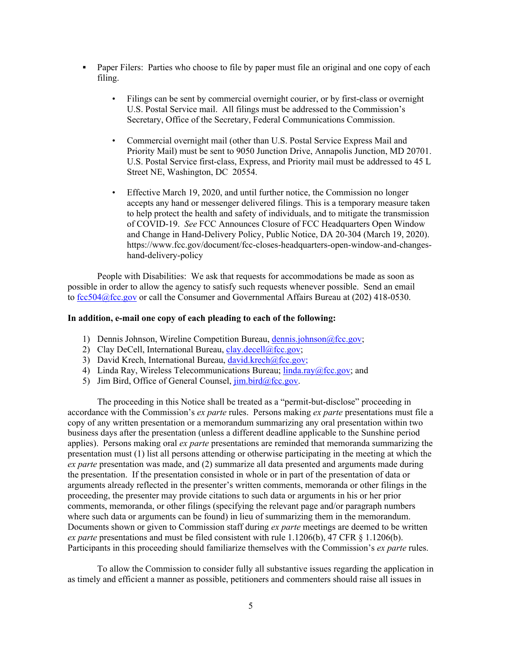- **Paper Filers:** Parties who choose to file by paper must file an original and one copy of each filing.
	- Filings can be sent by commercial overnight courier, or by first-class or overnight U.S. Postal Service mail. All filings must be addressed to the Commission's Secretary, Office of the Secretary, Federal Communications Commission.
	- Commercial overnight mail (other than U.S. Postal Service Express Mail and Priority Mail) must be sent to 9050 Junction Drive, Annapolis Junction, MD 20701. U.S. Postal Service first-class, Express, and Priority mail must be addressed to 45 L Street NE, Washington, DC 20554.
	- Effective March 19, 2020, and until further notice, the Commission no longer accepts any hand or messenger delivered filings. This is a temporary measure taken to help protect the health and safety of individuals, and to mitigate the transmission of COVID-19. *See* FCC Announces Closure of FCC Headquarters Open Window and Change in Hand-Delivery Policy, Public Notice, DA 20-304 (March 19, 2020). [https://www.fcc.gov/document/fcc-closes-headquarters-open-window-and-changes](https://www.fcc.gov/document/fcc-closes-headquarters-open-window-and-changes-hand-delivery-policy)[hand-delivery-policy](https://www.fcc.gov/document/fcc-closes-headquarters-open-window-and-changes-hand-delivery-policy)

People with Disabilities: We ask that requests for accommodations be made as soon as possible in order to allow the agency to satisfy such requests whenever possible. Send an email to [fcc504@fcc.gov](mailto:fcc504@fcc.gov) or call the Consumer and Governmental Affairs Bureau at (202) 418-0530.

#### **In addition, e-mail one copy of each pleading to each of the following:**

- 1) Dennis Johnson, Wireline Competition Bureau, [dennis.johnson@fcc.gov;](mailto:dennis.johnson@fcc.gov)
- 2) Clay DeCell, International Bureau, [clay.decell@fcc.gov;](mailto:clay.decell@fcc.gov)
- 3) David Krech, International Bureau, [david.krech@fcc.gov;](mailto:david.krech@fcc.gov)
- 4) Linda Ray, Wireless Telecommunications Bureau; [linda.ray@fcc.gov](mailto:linda.ray@fcc.gov); and
- 5) Jim Bird, Office of General Counsel,  $\lim_{h \to 0} \frac{\text{bird}}{\text{det}}$

The proceeding in this Notice shall be treated as a "permit-but-disclose" proceeding in accordance with the Commission's *ex parte* rules. Persons making *ex parte* presentations must file a copy of any written presentation or a memorandum summarizing any oral presentation within two business days after the presentation (unless a different deadline applicable to the Sunshine period applies). Persons making oral *ex parte* presentations are reminded that memoranda summarizing the presentation must (1) list all persons attending or otherwise participating in the meeting at which the *ex parte* presentation was made, and (2) summarize all data presented and arguments made during the presentation. If the presentation consisted in whole or in part of the presentation of data or arguments already reflected in the presenter's written comments, memoranda or other filings in the proceeding, the presenter may provide citations to such data or arguments in his or her prior comments, memoranda, or other filings (specifying the relevant page and/or paragraph numbers where such data or arguments can be found) in lieu of summarizing them in the memorandum. Documents shown or given to Commission staff during *ex parte* meetings are deemed to be written *ex parte* presentations and must be filed consistent with rule 1.1206(b), 47 CFR § 1.1206(b). Participants in this proceeding should familiarize themselves with the Commission's *ex parte* rules.

To allow the Commission to consider fully all substantive issues regarding the application in as timely and efficient a manner as possible, petitioners and commenters should raise all issues in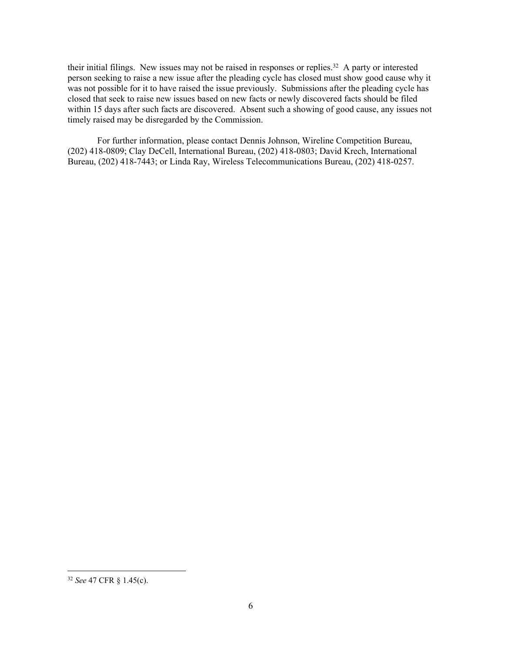their initial filings. New issues may not be raised in responses or replies.<sup>32</sup> A party or interested person seeking to raise a new issue after the pleading cycle has closed must show good cause why it was not possible for it to have raised the issue previously. Submissions after the pleading cycle has closed that seek to raise new issues based on new facts or newly discovered facts should be filed within 15 days after such facts are discovered. Absent such a showing of good cause, any issues not timely raised may be disregarded by the Commission.

For further information, please contact Dennis Johnson, Wireline Competition Bureau, (202) 418-0809; Clay DeCell, International Bureau, (202) 418-0803; David Krech, International Bureau, (202) 418-7443; or Linda Ray, Wireless Telecommunications Bureau, (202) 418-0257.

<sup>32</sup> *See* 47 CFR § 1.45(c).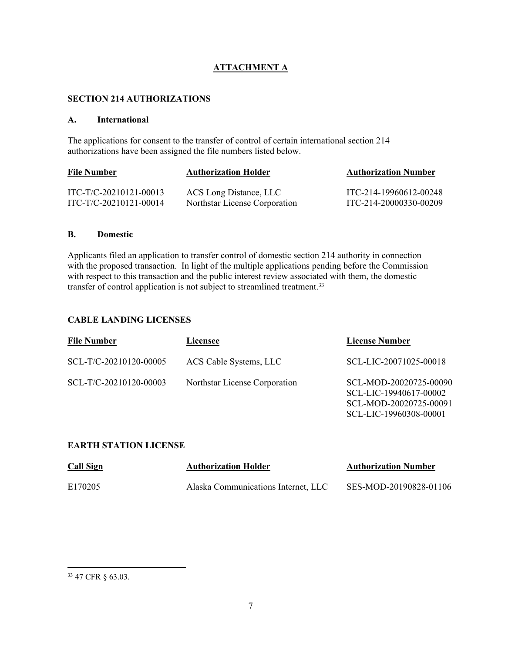# **ATTACHMENT A**

#### **SECTION 214 AUTHORIZATIONS**

#### **A. International**

The applications for consent to the transfer of control of certain international section 214 authorizations have been assigned the file numbers listed below.

| <b>File Number</b>     | <b>Authorization Holder</b>   | <b>Authorization Number</b> |
|------------------------|-------------------------------|-----------------------------|
| ITC-T/C-20210121-00013 | ACS Long Distance, LLC        | ITC-214-19960612-00248      |
| ITC-T/C-20210121-00014 | Northstar License Corporation | ITC-214-20000330-00209      |

#### **B. Domestic**

Applicants filed an application to transfer control of domestic section 214 authority in connection with the proposed transaction. In light of the multiple applications pending before the Commission with respect to this transaction and the public interest review associated with them, the domestic transfer of control application is not subject to streamlined treatment.<sup>33</sup>

## **CABLE LANDING LICENSES**

| <b>File Number</b>     | Licensee                      | <b>License Number</b>                                                                                |
|------------------------|-------------------------------|------------------------------------------------------------------------------------------------------|
| SCL-T/C-20210120-00005 | ACS Cable Systems, LLC        | SCL-LIC-20071025-00018                                                                               |
| SCL-T/C-20210120-00003 | Northstar License Corporation | SCL-MOD-20020725-00090<br>SCL-LIC-19940617-00002<br>SCL-MOD-20020725-00091<br>SCL-LIC-19960308-00001 |

## **EARTH STATION LICENSE**

| <b>Call Sign</b> | <b>Authorization Holder</b>         | <b>Authorization Number</b> |
|------------------|-------------------------------------|-----------------------------|
| E170205          | Alaska Communications Internet, LLC | SES-MOD-20190828-01106      |

<sup>33</sup> 47 CFR § 63.03.